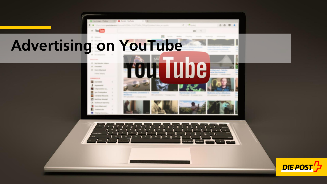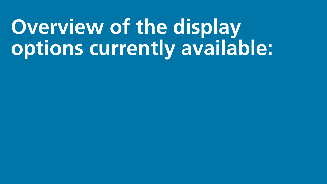# **Overview of the display options currently available:**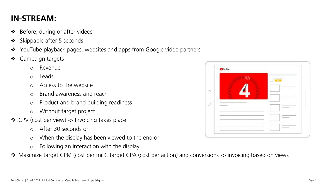## **IN-STREAM:**

- $\triangleleft$  Before, during or after videos
- $\triangleleft$  Skippable after 5 seconds
- ❖ YouTube playback pages, websites and apps from Google video partners
- ❖ Campaign targets
	- o Revenue
	- o Leads
	- o Access to the website
	- o Brand awareness and reach
	- o Product and brand building readiness
	- o Without target project
- CPV (cost per view) -> Invoicing takes place:
	- o After 30 seconds or
	- o When the display has been viewed to the end or
	- o Following an interaction with the display
- ◆ Maximize target CPM (cost per mill), target CPA (cost per action) and conversions -> invoicing based on views

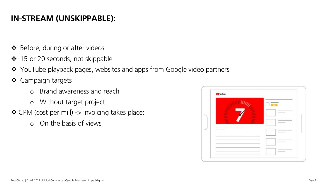# **IN-STREAM (UNSKIPPABLE):**

- ❖ Before, during or after videos
- ❖ 15 or 20 seconds, not skippable
- ❖ YouTube playback pages, websites and apps from Google video partners
- ❖ Campaign targets
	- o Brand awareness and reach
	- o Without target project
- ❖ CPM (cost per mill) -> Invoicing takes place:
	- o On the basis of views

| <b>CD</b> YouTube |                 |                                                                                                                                                                                                                                                                                                                                                                                                                                                                            |
|-------------------|-----------------|----------------------------------------------------------------------------------------------------------------------------------------------------------------------------------------------------------------------------------------------------------------------------------------------------------------------------------------------------------------------------------------------------------------------------------------------------------------------------|
|                   |                 |                                                                                                                                                                                                                                                                                                                                                                                                                                                                            |
|                   | $\blacklozenge$ |                                                                                                                                                                                                                                                                                                                                                                                                                                                                            |
|                   |                 |                                                                                                                                                                                                                                                                                                                                                                                                                                                                            |
|                   |                 |                                                                                                                                                                                                                                                                                                                                                                                                                                                                            |
|                   |                 | -                                                                                                                                                                                                                                                                                                                                                                                                                                                                          |
|                   |                 |                                                                                                                                                                                                                                                                                                                                                                                                                                                                            |
|                   |                 | $\frac{1}{2} \left( \frac{1}{2} \right) \left( \frac{1}{2} \right) \left( \frac{1}{2} \right) \left( \frac{1}{2} \right) \left( \frac{1}{2} \right) \left( \frac{1}{2} \right) \left( \frac{1}{2} \right) \left( \frac{1}{2} \right) \left( \frac{1}{2} \right) \left( \frac{1}{2} \right) \left( \frac{1}{2} \right) \left( \frac{1}{2} \right) \left( \frac{1}{2} \right) \left( \frac{1}{2} \right) \left( \frac{1}{2} \right) \left( \frac{1}{2} \right) \left( \frac$ |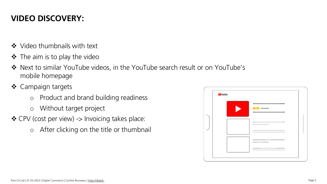## **VIDEO DISCOVERY:**

- ❖ Video thumbnails with text
- $\div$  The aim is to play the video
- Next to similar YouTube videos, in the YouTube search result or on YouTube's mobile homepage
- ❖ Campaign targets
	- o Product and brand building readiness
	- o Without target project
- CPV (cost per view) -> Invoicing takes place:
	- o After clicking on the title or thumbnail

| <b>Ca</b> YouTube |    |
|-------------------|----|
|                   | AD |
|                   |    |
| _____             |    |
|                   |    |
|                   |    |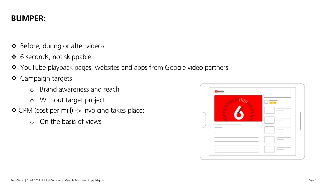#### **BUMPER:**

- ❖ Before, during or after videos
- ❖ 6 seconds, not skippable
- ❖ YouTube playback pages, websites and apps from Google video partners
- ❖ Campaign targets
	- o Brand awareness and reach
	- o Without target project
- ❖ CPM (cost per mill) -> Invoicing takes place:
	- o On the basis of views

| <b>CB</b> YouTube |      |
|-------------------|------|
|                   |      |
|                   |      |
|                   | -    |
|                   | ___  |
|                   |      |
|                   | ____ |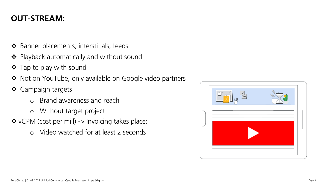### **OUT-STREAM:**

- ❖ Banner placements, interstitials, feeds
- ❖ Playback automatically and without sound
- ❖ Tap to play with sound
- ◆ Not on YouTube, only available on Google video partners
- ❖ Campaign targets
	- o Brand awareness and reach
	- o Without target project
- ❖ vCPM (cost per mill) -> Invoicing takes place:
	- o Video watched for at least 2 seconds

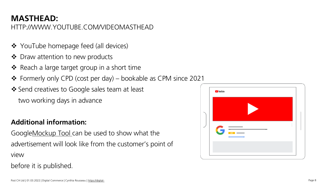#### **MASTHEAD:** [HTTP://WWW.YOUTUBE.COM/VIDEOMASTHEAD](http://www.youtube.com/VIDEOMASTHEAD)

- ❖ YouTube homepage feed (all devices)
- ❖ Draw attention to new products
- $\triangleleft$  Reach a large target group in a short time
- Formerly only CPD (cost per day) bookable as CPM since 2021
- ❖ Send creatives to Google sales team at least two working days in advance

#### **Additional information:**

Googl[eMockup Tool c](https://create.withgoogle.com/youtubemockuptool/)an be used to show what the advertisement will look like from the customer's point of view

before it is published.